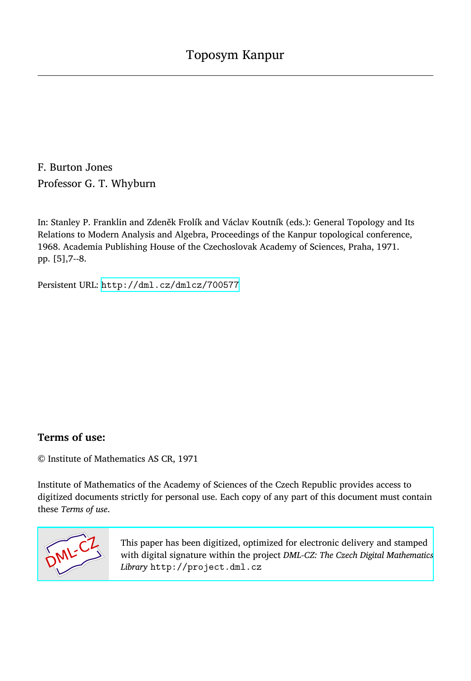F. Burton Jones Professor G. T. Whyburn

In: Stanley P. Franklin and Zdeněk Frolík and Václav Koutník (eds.): General Topology and Its Relations to Modern Analysis and Algebra, Proceedings of the Kanpur topological conference, 1968. Academia Publishing House of the Czechoslovak Academy of Sciences, Praha, 1971. pp. [5],7--8.

Persistent URL: <http://dml.cz/dmlcz/700577>

## **Terms of use:**

© Institute of Mathematics AS CR, 1971

Institute of Mathematics of the Academy of Sciences of the Czech Republic provides access to digitized documents strictly for personal use. Each copy of any part of this document must contain these *Terms of use*.



[This paper has been digitized, optimized for electronic delivery and stamped](http://project.dml.cz) with digital signature within the project *DML-CZ: The Czech Digital Mathematics Library* http://project.dml.cz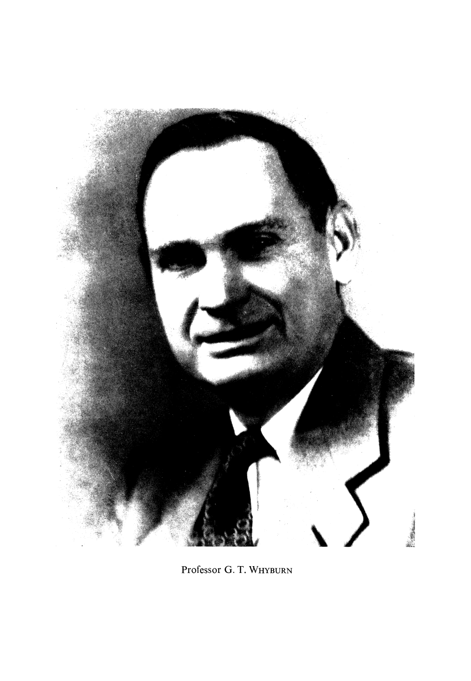

Professor G. T. WHYBURN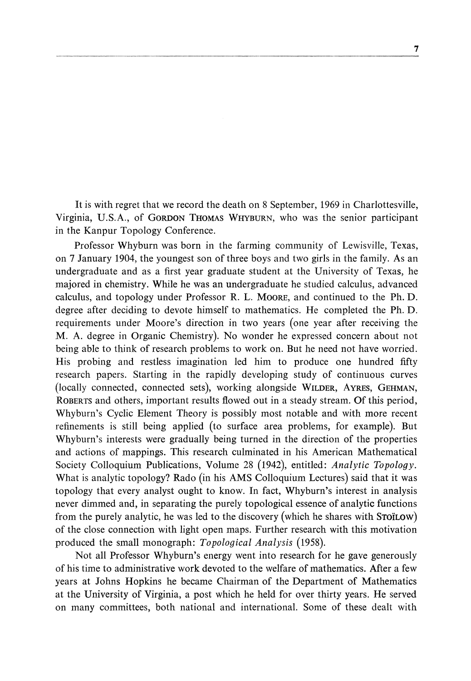It is with regret that we record the death on 8 September, 1969 in Charlottesville, Virginia, U.S.A., of GORDON THOMAS WHYBURN, who was the senior participant in the Kanpur Topology Conference.

Professor Whyburn was born in the farming community of Lewisville, Texas, on 7 January 1904, the youngest son of three boys and two girls in the family. As an undergraduate and as a first year graduate student at the University of Texas, he majored in chemistry. While he was an undergraduate he studied calculus, advanced calculus, and topology under Professor R. L. MOORE, and continued to the Ph. D. degree after deciding to devote himself to mathematics. He completed the Ph. D. requirements under Moore's direction in two years (one year after receiving the M. A. degree in Organic Chemistry). No wonder he expressed concern about not being able to think of research problems to work on. But he need not have worried. His probing and restless imagination led him to produce one hundred fifty research papers. Starting in the rapidly developing study of continuous curves (locally connected, connected sets), working alongside WILDER, AYRES, GEHMAN, ROBERTS and others, important results flowed out in a steady stream. Of this period, Whyburn's Cyclic Element Theory is possibly most notable and with more recent refinements is still being applied (to surface area problems, for example). But Whyburn's interests were gradually being turned in the direction of the properties and actions of mappings. This research culminated in his American Mathematical Society Colloquium Publications, Volume 28 (1942), entitled: *Analytic Topology.*  What is analytic topology? Rado (in his AMS Colloquium Lectures) said that it was topology that every analyst ought to know. In fact, Whyburn's interest in analysis never dimmed and, in separating the purely topological essence of analytic functions from the purely analytic, he was led to the discovery (which he shares with STOILOW) of the close connection with light open maps. Further research with this motivation produced the small monograph: *Topological Analysis* (1958).

Not all Professor Whyburn's energy went into research for he gave generously of his time to administrative work devoted to the welfare of mathematics. After a few years at Johns Hopkins he became Chairman of the Department of Mathematics at the University of Virginia, a post which he held for over thirty years. He served on many committees, both national and international. Some of these dealt with